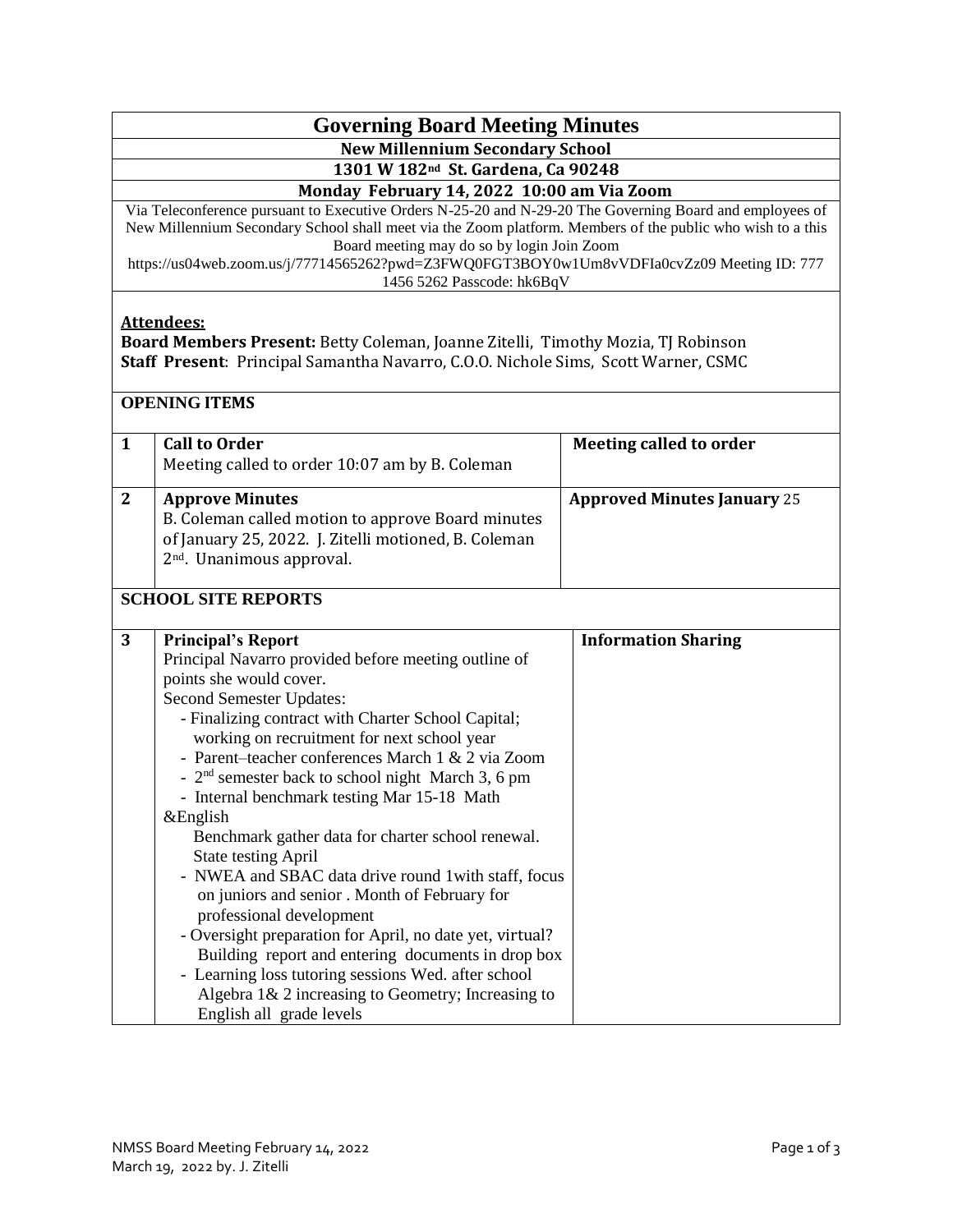## **Governing Board Meeting Minutes**

**New Millennium Secondary School**

**1301 W 182nd St. Gardena, Ca 90248**

 **Monday February 14, 2022 10:00 am Via Zoom**

Via Teleconference pursuant to Executive Orders N-25-20 and N-29-20 The Governing Board and employees of New Millennium Secondary School shall meet via the Zoom platform. Members of the public who wish to a this Board meeting may do so by login Join Zoom

https://us04web.zoom.us/j/77714565262?pwd=Z3FWQ0FGT3BOY0w1Um8vVDFIa0cvZz09 Meeting ID: 777 1456 5262 Passcode: hk6BqV

## **Attendees:**

**Board Members Present:** Betty Coleman, Joanne Zitelli, Timothy Mozia, TJ Robinson **Staff Present**: Principal Samantha Navarro, C.O.O. Nichole Sims, Scott Warner, CSMC

## **OPENING ITEMS**

| $\mathbf{1}$ | <b>Call to Order</b>                                                                                                                                                                                                                                                                                                                                                                                                                                                                                                                                                                                                                                                                                                                                                                                                                                                                                                 | Meeting called to order            |
|--------------|----------------------------------------------------------------------------------------------------------------------------------------------------------------------------------------------------------------------------------------------------------------------------------------------------------------------------------------------------------------------------------------------------------------------------------------------------------------------------------------------------------------------------------------------------------------------------------------------------------------------------------------------------------------------------------------------------------------------------------------------------------------------------------------------------------------------------------------------------------------------------------------------------------------------|------------------------------------|
|              | Meeting called to order 10:07 am by B. Coleman                                                                                                                                                                                                                                                                                                                                                                                                                                                                                                                                                                                                                                                                                                                                                                                                                                                                       |                                    |
| $\mathbf{2}$ | <b>Approve Minutes</b><br>B. Coleman called motion to approve Board minutes<br>of January 25, 2022. J. Zitelli motioned, B. Coleman<br>2 <sup>nd</sup> . Unanimous approval.                                                                                                                                                                                                                                                                                                                                                                                                                                                                                                                                                                                                                                                                                                                                         | <b>Approved Minutes January 25</b> |
|              | <b>SCHOOL SITE REPORTS</b>                                                                                                                                                                                                                                                                                                                                                                                                                                                                                                                                                                                                                                                                                                                                                                                                                                                                                           |                                    |
| 3            | <b>Principal's Report</b><br>Principal Navarro provided before meeting outline of<br>points she would cover.<br>Second Semester Updates:<br>- Finalizing contract with Charter School Capital;<br>working on recruitment for next school year<br>- Parent-teacher conferences March 1 & 2 via Zoom<br>- 2 <sup>nd</sup> semester back to school night March 3, 6 pm<br>- Internal benchmark testing Mar 15-18 Math<br>&English<br>Benchmark gather data for charter school renewal.<br><b>State testing April</b><br>- NWEA and SBAC data drive round 1 with staff, focus<br>on juniors and senior . Month of February for<br>professional development<br>- Oversight preparation for April, no date yet, virtual?<br>Building report and entering documents in drop box<br>- Learning loss tutoring sessions Wed. after school<br>Algebra $1\& 2$ increasing to Geometry; Increasing to<br>English all grade levels | <b>Information Sharing</b>         |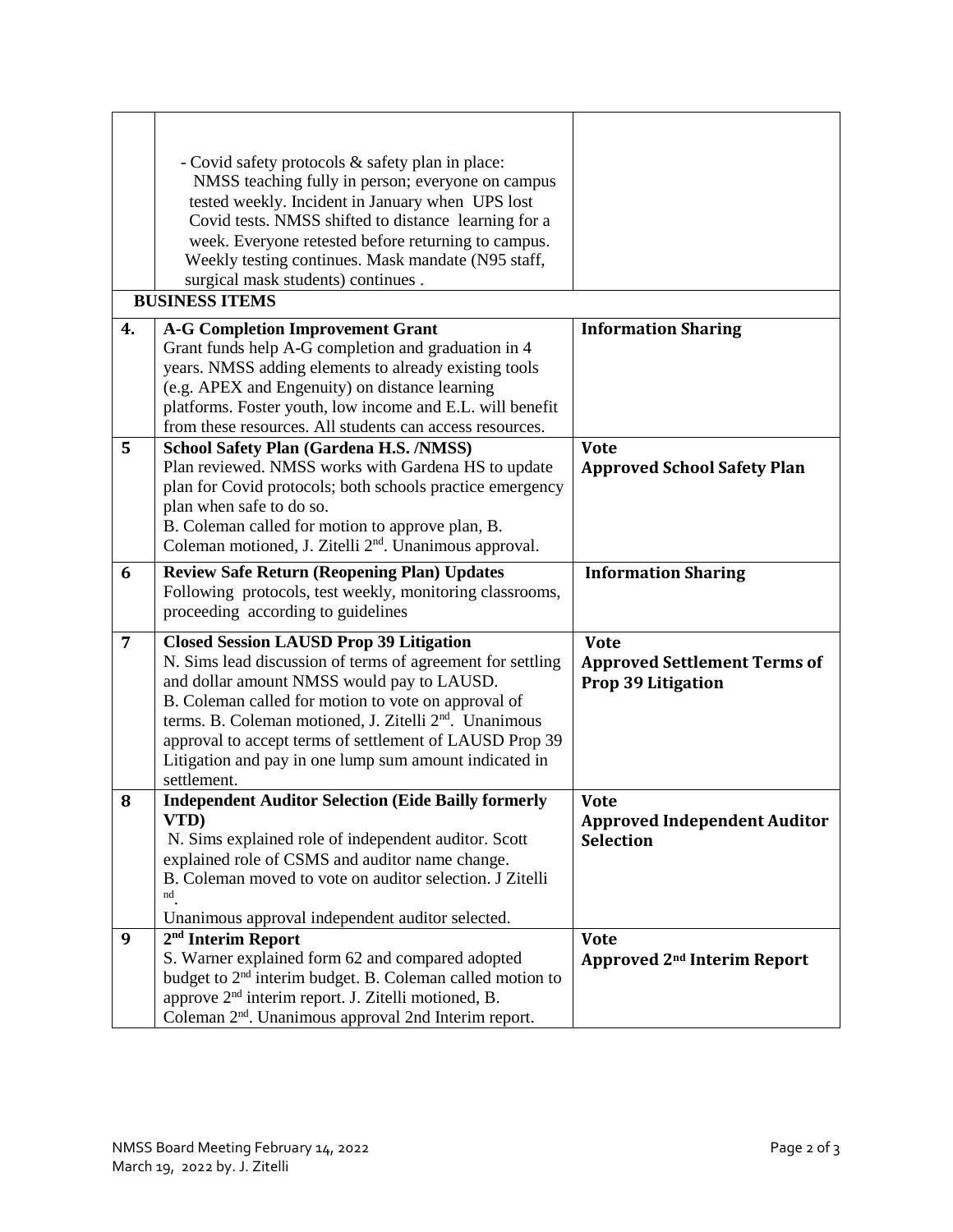|                | - Covid safety protocols & safety plan in place:<br>NMSS teaching fully in person; everyone on campus<br>tested weekly. Incident in January when UPS lost<br>Covid tests. NMSS shifted to distance learning for a<br>week. Everyone retested before returning to campus.<br>Weekly testing continues. Mask mandate (N95 staff,<br>surgical mask students) continues.<br><b>BUSINESS ITEMS</b>                               |                                                                          |
|----------------|-----------------------------------------------------------------------------------------------------------------------------------------------------------------------------------------------------------------------------------------------------------------------------------------------------------------------------------------------------------------------------------------------------------------------------|--------------------------------------------------------------------------|
| 4.             | <b>A-G Completion Improvement Grant</b><br>Grant funds help A-G completion and graduation in 4<br>years. NMSS adding elements to already existing tools<br>(e.g. APEX and Engenuity) on distance learning<br>platforms. Foster youth, low income and E.L. will benefit<br>from these resources. All students can access resources.                                                                                          | <b>Information Sharing</b>                                               |
| 5              | School Safety Plan (Gardena H.S. /NMSS)<br>Plan reviewed. NMSS works with Gardena HS to update<br>plan for Covid protocols; both schools practice emergency<br>plan when safe to do so.<br>B. Coleman called for motion to approve plan, B.<br>Coleman motioned, J. Zitelli 2 <sup>nd</sup> . Unanimous approval.                                                                                                           | <b>Vote</b><br><b>Approved School Safety Plan</b>                        |
| 6              | <b>Review Safe Return (Reopening Plan) Updates</b><br>Following protocols, test weekly, monitoring classrooms,<br>proceeding according to guidelines                                                                                                                                                                                                                                                                        | <b>Information Sharing</b>                                               |
| $\overline{7}$ | <b>Closed Session LAUSD Prop 39 Litigation</b><br>N. Sims lead discussion of terms of agreement for settling<br>and dollar amount NMSS would pay to LAUSD.<br>B. Coleman called for motion to vote on approval of<br>terms. B. Coleman motioned, J. Zitelli 2 <sup>nd</sup> . Unanimous<br>approval to accept terms of settlement of LAUSD Prop 39<br>Litigation and pay in one lump sum amount indicated in<br>settlement. | <b>Vote</b><br><b>Approved Settlement Terms of</b><br>Prop 39 Litigation |
| 8              | <b>Independent Auditor Selection (Eide Bailly formerly</b><br>VTD)<br>N. Sims explained role of independent auditor. Scott<br>explained role of CSMS and auditor name change.<br>B. Coleman moved to vote on auditor selection. J Zitelli<br>nd<br>Unanimous approval independent auditor selected.                                                                                                                         | <b>Vote</b><br><b>Approved Independent Auditor</b><br><b>Selection</b>   |
| 9              | 2 <sup>nd</sup> Interim Report<br>S. Warner explained form 62 and compared adopted<br>budget to 2 <sup>nd</sup> interim budget. B. Coleman called motion to<br>approve 2 <sup>nd</sup> interim report. J. Zitelli motioned, B.<br>Coleman 2 <sup>nd</sup> . Unanimous approval 2nd Interim report.                                                                                                                          | <b>Vote</b><br>Approved 2 <sup>nd</sup> Interim Report                   |